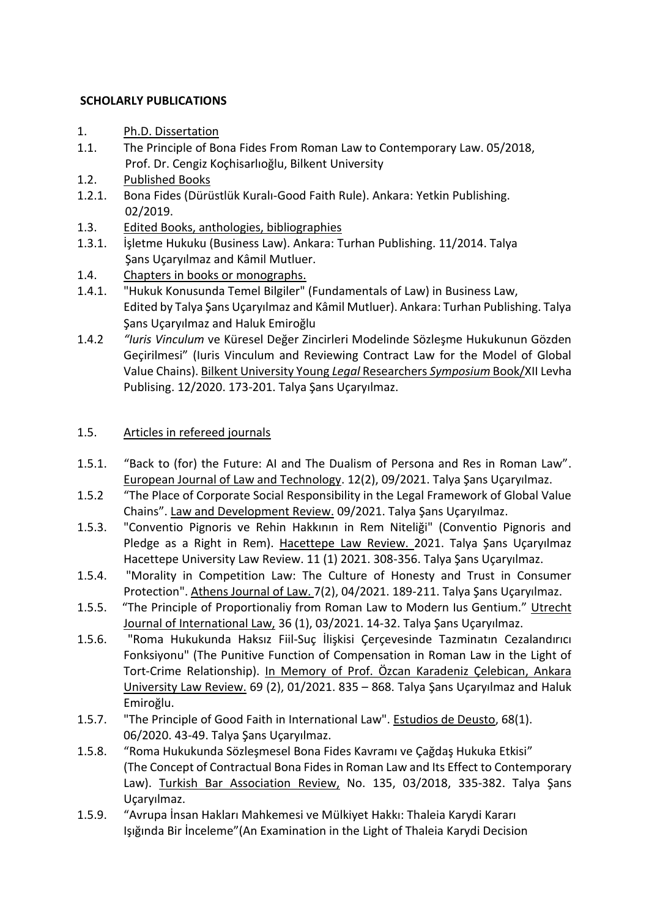## **SCHOLARLY PUBLICATIONS**

- 1. Ph.D. Dissertation
- 1.1. The Principle of Bona Fides From Roman Law to Contemporary Law. 05/2018, Prof. Dr. Cengiz Koçhisarlıoğlu, Bilkent University
- 1.2. Published Books
- 1.2.1. Bona Fides (Dürüstlük Kuralı-Good Faith Rule). Ankara: Yetkin Publishing. 02/2019.
- 1.3. Edited Books, anthologies, bibliographies
- 1.3.1. İşletme Hukuku (Business Law). Ankara: Turhan Publishing. 11/2014. Talya Şans Uçaryılmaz and Kâmil Mutluer.
- 1.4. Chapters in books or monographs.
- 1.4.1. "Hukuk Konusunda Temel Bilgiler" (Fundamentals of Law) in Business Law, Edited by Talya Şans Uçaryılmaz and Kâmil Mutluer). Ankara: Turhan Publishing. Talya Şans Uçaryılmaz and Haluk Emiroğlu
- 1.4.2 *"Iuris Vinculum* ve Küresel Değer Zincirleri Modelinde Sözleşme Hukukunun Gözden Geçirilmesi" (Iuris Vinculum and Reviewing Contract Law for the Model of Global Value Chains). Bilkent University Young *Legal* Researchers *Symposium* Book/XII Levha Publising. 12/2020. 173-201. Talya Şans Uçaryılmaz.

## 1.5. Articles in refereed journals

- 1.5.1. "Back to (for) the Future: AI and The Dualism of Persona and Res in Roman Law". European Journal of Law and Technology. 12(2), 09/2021. Talya Şans Uçaryılmaz.
- 1.5.2 "The Place of Corporate Social Responsibility in the Legal Framework of Global Value Chains". Law and Development Review. 09/2021. Talya Şans Uçaryılmaz.
- 1.5.3. "Conventio Pignoris ve Rehin Hakkının in Rem Niteliği" (Conventio Pignoris and Pledge as a Right in Rem). Hacettepe Law Review. 2021. Talya Şans Uçaryılmaz Hacettepe University Law Review. 11 (1) 2021. 308-356. Talya Şans Uçaryılmaz.
- 1.5.4. "Morality in Competition Law: The Culture of Honesty and Trust in Consumer Protection". Athens Journal of Law. 7(2), 04/2021. 189-211. Talya Şans Uçaryılmaz.
- 1.5.5. "The Principle of Proportionaliy from Roman Law to Modern Ius Gentium." Utrecht Journal of International Law, 36 (1), 03/2021. 14-32. Talya Şans Uçaryılmaz.
- 1.5.6. "Roma Hukukunda Haksız Fiil-Suç İlişkisi Çerçevesinde Tazminatın Cezalandırıcı Fonksiyonu" (The Punitive Function of Compensation in Roman Law in the Light of Tort-Crime Relationship). In Memory of Prof. Özcan Karadeniz Çelebican, Ankara University Law Review. 69 (2), 01/2021. 835 – 868. Talya Şans Uçaryılmaz and Haluk Emiroğlu.
- 1.5.7. "The Principle of Good Faith in International Law". Estudios de Deusto, 68(1). 06/2020. 43-49. Talya Şans Uçaryılmaz.
- 1.5.8. "Roma Hukukunda Sözleşmesel Bona Fides Kavramı ve Çağdaş Hukuka Etkisi" (The Concept of Contractual Bona Fides in Roman Law and Its Effect to Contemporary Law). Turkish Bar Association Review, No. 135, 03/2018, 335-382. Talya Şans Uçaryılmaz.
- 1.5.9. "Avrupa İnsan Hakları Mahkemesi ve Mülkiyet Hakkı: Thaleia Karydi Kararı Işığında Bir İnceleme"(An Examination in the Light of Thaleia Karydi Decision